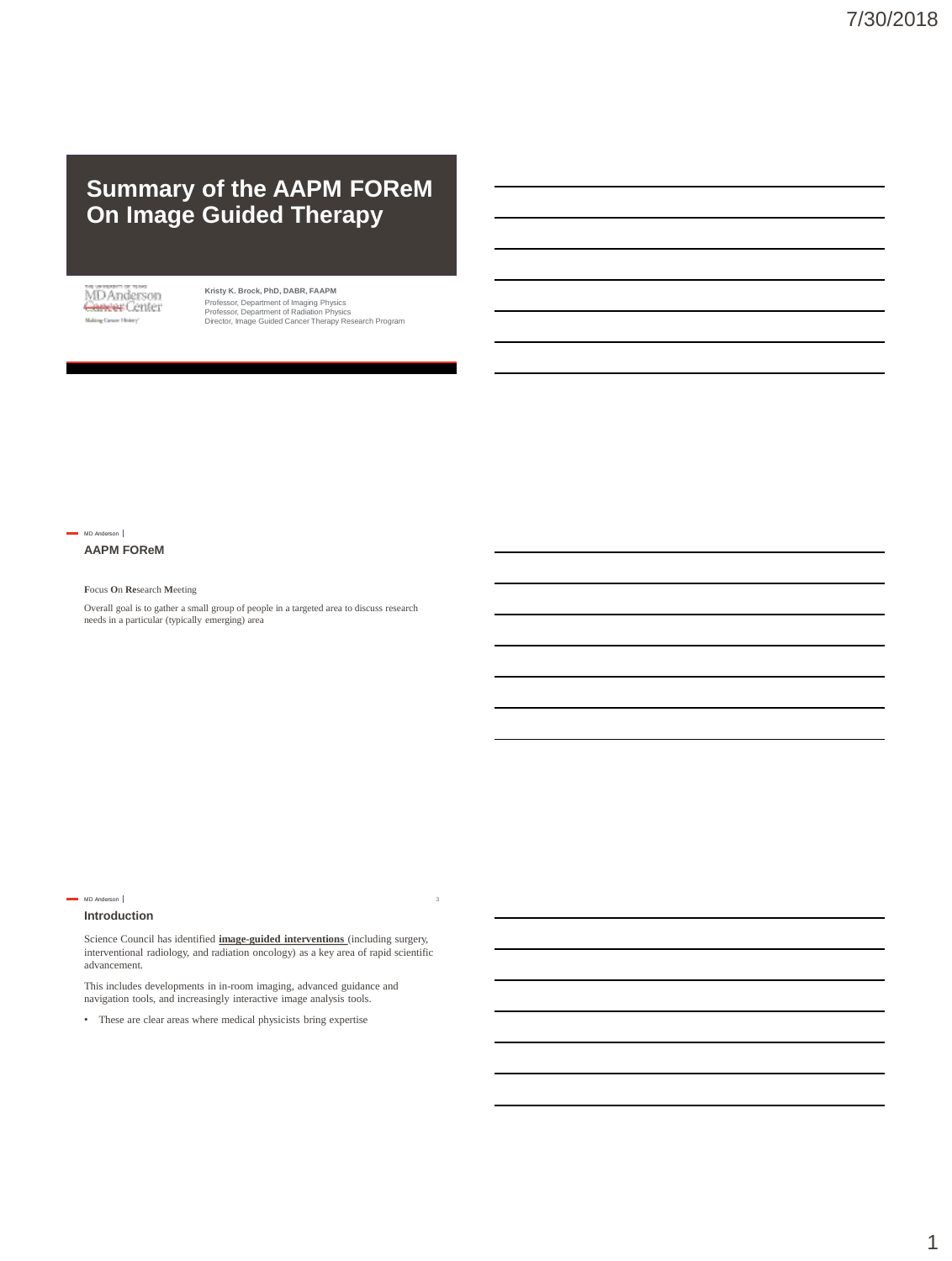# **Summary of the AAPM FOReM On Image Guided Therapy**

MDAnderson<br><del>Carreer</del> Center Maling Cancer History'

**Kristy K. Brock, PhD, DABR, FAAPM** Professor, Department of Imaging Physics Professor, Department of Radiation Physics Director, Image Guided Cancer Therapy Research Program



# **AAPM FOReM**

# **F**ocus **O**n **Re**search **M**eeting

Overall goal is to gather a small group of people in a targeted area to discuss research needs in a particular (typically emerging) area

# **Introduction**

MD Anderson |

Science Council has identified **image-guided interventions** (including surgery, interventional radiology, and radiation oncology) as a key area of rapid scientific advancement.

3

This includes developments in in-room imaging, advanced guidance and navigation tools, and increasingly interactive image analysis tools.

• These are clear areas where medical physicists bring expertise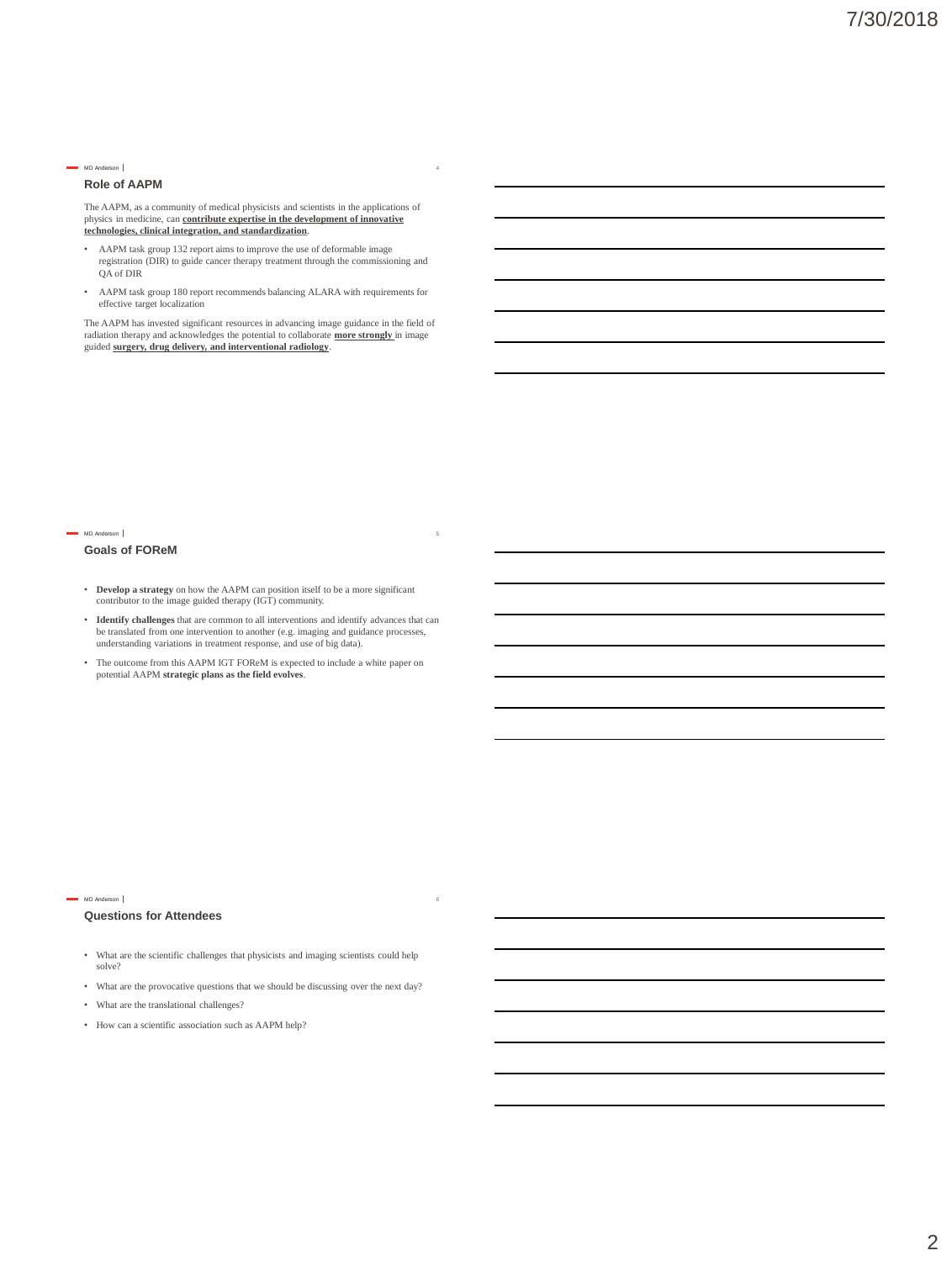## **Role of AAPM**

The AAPM, as a community of medical physicists and scientists in the applications of physics in medicine, can **contribute expertise in the development of innovative technologies, clinical integration, and standardization**.

- AAPM task group 132 report aims to improve the use of deformable image registration (DIR) to guide cancer therapy treatment through the commissioning and QA of DIR
- AAPM task group 180 report recommends balancing ALARA with requirements for effective target localization

The AAPM has invested significant resources in advancing image guidance in the field of radiation therapy and acknowledges the potential to collaborate **more strongly** in image guided **surgery, drug delivery, and interventional radiology**.

#### MD Anderson

## **Goals of FOReM**

- **Develop a strategy** on how the AAPM can position itself to be a more significant contributor to the image guided therapy (IGT) community.
- **Identify challenges** that are common to all interventions and identify advances that can be translated from one intervention to another (e.g. imaging and guidance processes, understanding variations in treatment response, and use of big data).
- The outcome from this AAPM IGT FOReM is expected to include a white paper on potential AAPM **strategic plans as the field evolves**.

#### MD Anderson

## **Questions for Attendees**

• What are the scientific challenges that physicists and imaging scientists could help solve?

6

- What are the provocative questions that we should be discussing over the next day?
- What are the translational challenges?
- How can a scientific association such as AAPM help?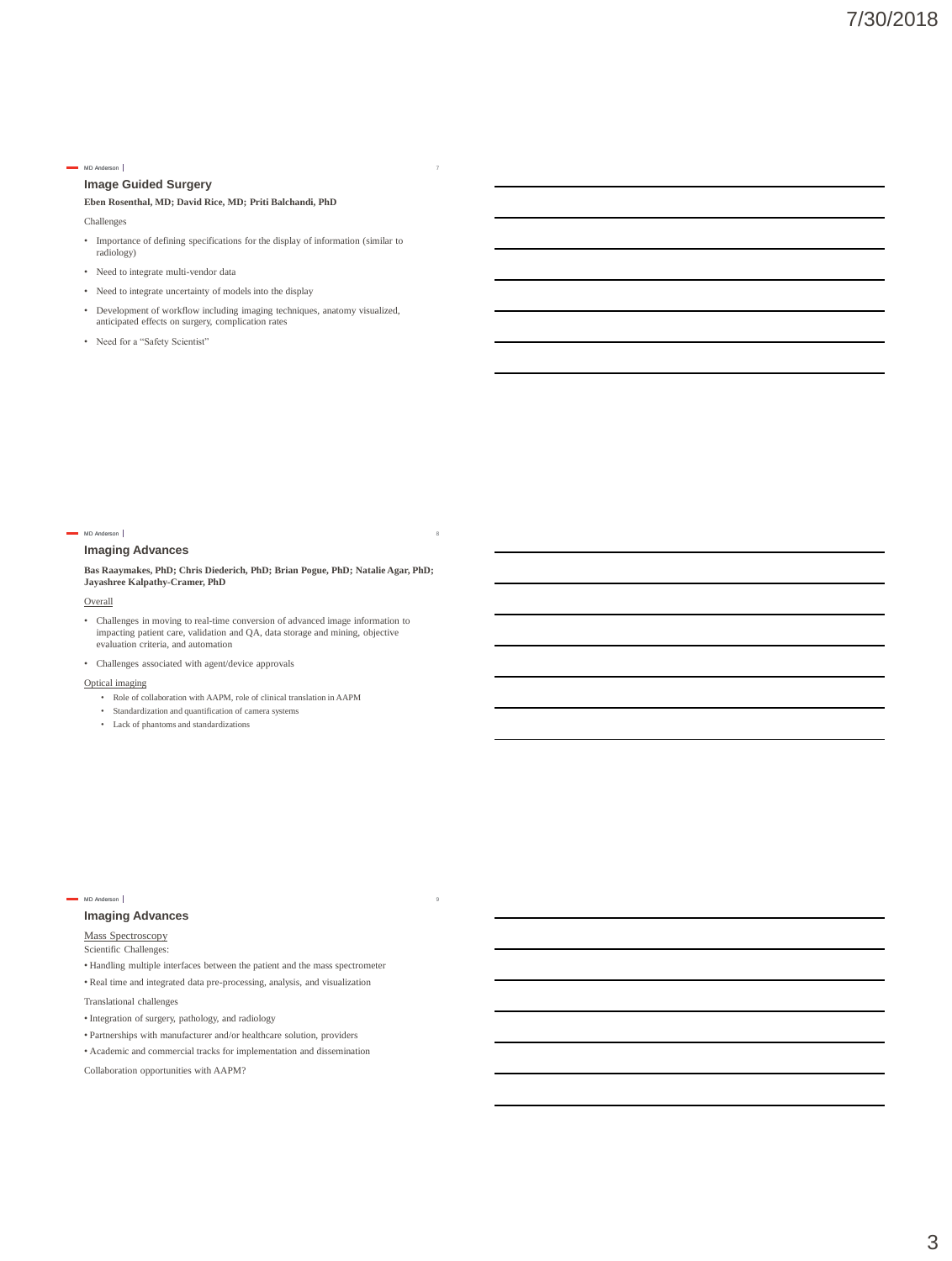# **Image Guided Surgery**

## **Eben Rosenthal, MD; David Rice, MD; Priti Balchandi, PhD**

Challenges

- Importance of defining specifications for the display of information (similar to radiology)
- Need to integrate multi-vendor data
- Need to integrate uncertainty of models into the display
- Development of workflow including imaging techniques, anatomy visualized, anticipated effects on surgery, complication rates
- Need for a "Safety Scientist"

#### MD Anderson |

## **Imaging Advances**

**Bas Raaymakes, PhD; Chris Diederich, PhD; Brian Pogue, PhD; Natalie Agar, PhD; Jayashree Kalpathy-Cramer, PhD**

8

9

#### **Overall**

- Challenges in moving to real-time conversion of advanced image information to impacting patient care, validation and QA, data storage and mining, objective evaluation criteria, and automation
- Challenges associated with agent/device approvals

## Optical imaging

- Role of collaboration with AAPM, role of clinical translation in AAPM
- Standardization and quantification of camera systems
- Lack of phantoms and standardizations

#### MD Anderson |

## **Imaging Advances**

Mass Spectroscopy

Scientific Challenges:

- Handling multiple interfaces between the patient and the mass spectrometer
- Real time and integrated data pre-processing, analysis, and visualization

Translational challenges

- Integration of surgery, pathology, and radiology
- Partnerships with manufacturer and/or healthcare solution, providers
- Academic and commercial tracks for implementation and dissemination

Collaboration opportunities with AAPM?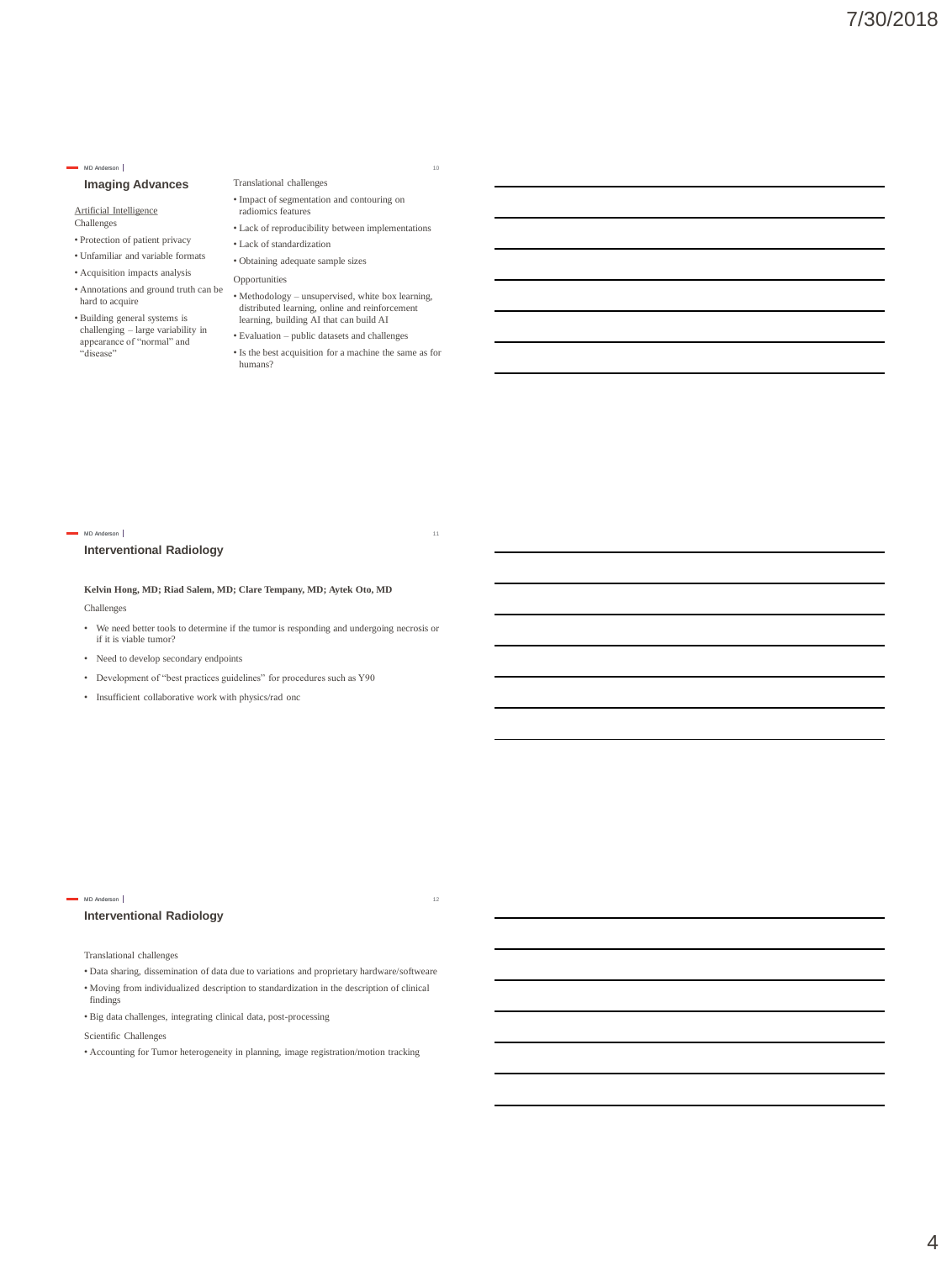## **Imaging Advances**

Artificial Intelligence Challenges

- Protection of patient privacy
- Unfamiliar and variable formats
- Acquisition impacts analysis
- 
- Building general systems is challenging – large variability in appearance of "normal" and "disease"
- Translational challenges • Impact of segmentation and contouring on
- radiomics features
- Lack of reproducibility between implementations • Lack of standardization
- Obtaining adequate sample sizes
- Opportunities
- Annotations and ground truth can be hard to acquire Methodology unsupervised, white box learning, distributed learning, online and reinforcement learning, building AI that can build AI
	- Evaluation public datasets and challenges
	- Is the best acquisition for a machine the same as for humans?

#### MD Anderson |

## **Interventional Radiology**

**Kelvin Hong, MD; Riad Salem, MD; Clare Tempany, MD; Aytek Oto, MD**

Challenges

- We need better tools to determine if the tumor is responding and undergoing necrosis or if it is viable tumor?
- Need to develop secondary endpoints
- Development of "best practices guidelines" for procedures such as Y90
- Insufficient collaborative work with physics/rad onc

#### MD Anderson |

## **Interventional Radiology**

Translational challenges

• Data sharing, dissemination of data due to variations and proprietary hardware/softweare

12

- Moving from individualized description to standardization in the description of clinical findings
- Big data challenges, integrating clinical data, post-processing

Scientific Challenges

• Accounting for Tumor heterogeneity in planning, image registration/motion tracking